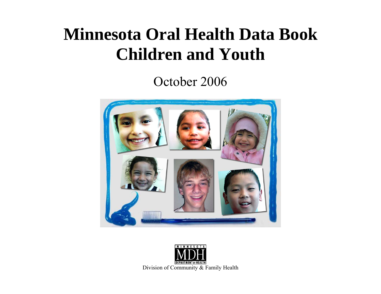# **Minnesota Oral Health Data Book Children and Youth**

October 2006



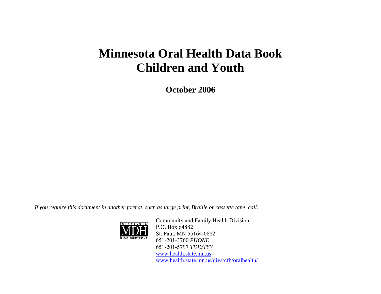## **Minnesota Oral Health Data Book Children and Youth**

**October 2006** 

*If you require this document in another format, such as large print, Braille or cassette tape, call:* 



Community and Family Health Division P.O. Box 64882 St. Paul, MN 55164-0882 651-201-3760 *PHONE* 651-201-5797 *TDD/TYY*www.health.state.mn.us www.health.state.mn.us/divs/cfh/oralhealth/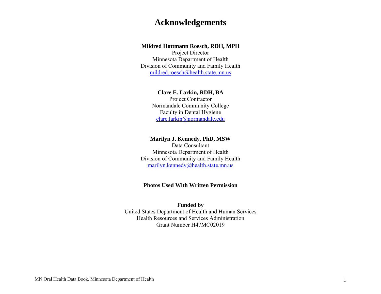#### **Acknowledgements**

#### **Mildred Hottmann Roesch, RDH, MPH**

Project Director Minnesota Department of Health Division of Community and Family Health mildred.roesch@health.state.mn.us

#### **Clare E. Larkin, RDH, BA**

Project Contractor Normandale Community College Faculty in Dental Hygiene clare.larkin@normandale.edu

#### **Marilyn J. Kennedy, PhD, MSW**

Data Consultant Minnesota Department of Health Division of Community and Family Health marilyn.kennedy@health.state.mn.us

#### **Photos Used With Written Permission**

#### **Funded by**

United States Department of Health and Human Services Health Resources and Services Administration Grant Number H47MC02019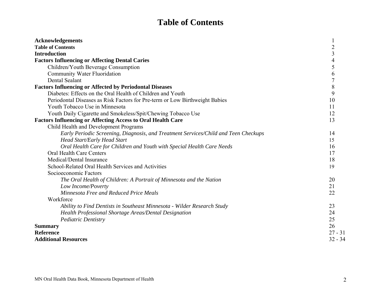### **Table of Contents**

| <b>Acknowledgements</b>                                                             |                |
|-------------------------------------------------------------------------------------|----------------|
| <b>Table of Contents</b>                                                            | $\overline{2}$ |
| <b>Introduction</b>                                                                 | 3              |
| <b>Factors Influencing or Affecting Dental Caries</b>                               | 4              |
| Children/Youth Beverage Consumption                                                 | 5              |
| <b>Community Water Fluoridation</b>                                                 | 6              |
| Dental Sealant                                                                      | $\overline{7}$ |
| <b>Factors Influencing or Affected by Periodontal Diseases</b>                      | 8              |
| Diabetes: Effects on the Oral Health of Children and Youth                          | 9              |
| Periodontal Diseases as Risk Factors for Pre-term or Low Birthweight Babies         | 10             |
| Youth Tobacco Use in Minnesota                                                      | 11             |
| Youth Daily Cigarette and Smokeless/Spit/Chewing Tobacco Use                        | 12             |
| <b>Factors Influencing or Affecting Access to Oral Health Care</b>                  | 13             |
| Child Health and Development Programs                                               |                |
| Early Periodic Screening, Diagnosis, and Treatment Services/Child and Teen Checkups | 14             |
| <b>Head Start/Early Head Start</b>                                                  | 15             |
| Oral Health Care for Children and Youth with Special Health Care Needs              | 16             |
| <b>Oral Health Care Centers</b>                                                     | 17             |
| Medical/Dental Insurance                                                            | 18             |
| School-Related Oral Health Services and Activities                                  | 19             |
| Socioeconomic Factors                                                               |                |
| The Oral Health of Children: A Portrait of Minnesota and the Nation                 | 20             |
| Low Income/Poverty                                                                  | 21             |
| Minnesota Free and Reduced Price Meals                                              | 22             |
| Workforce                                                                           |                |
| Ability to Find Dentists in Southeast Minnesota - Wilder Research Study             | 23             |
| Health Professional Shortage Areas/Dental Designation                               | 24             |
| Pediatric Dentistry                                                                 | 25             |
| <b>Summary</b>                                                                      | 26             |
| <b>Reference</b>                                                                    | $27 - 31$      |
| <b>Additional Resources</b>                                                         | $32 - 34$      |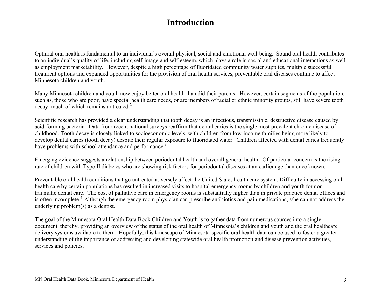#### **Introduction**

Optimal oral health is fundamental to an individual's overall physical, social and emotional well-being. Sound oral health contributes to an individual's quality of life, including self-image and self-esteem, which plays a role in social and educational interactions as well as employment marketability. However, despite a high percentage of fluoridated community water supplies, multiple successful treatment options and expanded opportunities for the provision of oral health services, preventable oral diseases continue to affect Minnesota children and youth.<sup>1</sup>

Many Minnesota children and youth now enjoy better oral health than did their parents. However, certain segments of the population, such as, those who are poor, have special health care needs, or are members of racial or ethnic minority groups, still have severe tooth  $decay$ , much of which remains untreated.<sup>2</sup>

Scientific research has provided a clear understanding that tooth decay is an infectious, transmissible, destructive disease caused by acid-forming bacteria. Data from recent national surveys reaffirm that dental caries is the single most prevalent chronic disease of childhood. Tooth decay is closely linked to socioeconomic levels, with children from low-income families being more likely to develop dental caries (tooth decay) despite their regular exposure to fluoridated water. Children affected with dental caries frequently have problems with school attendance and performance.<sup>3</sup>

Emerging evidence suggests a relationship between periodontal health and overall general health. Of particular concern is the rising rate of children with Type II diabetes who are showing risk factors for periodontal diseases at an earlier age than once known.

Preventable oral health conditions that go untreated adversely affect the United States health care system. Difficulty in accessing oral health care by certain populations has resulted in increased visits to hospital emergency rooms by children and youth for nontraumatic dental care. The cost of palliative care in emergency rooms is substantially higher than in private practice dental offices and is often incomplete.<sup>4</sup> Although the emergency room physician can prescribe antibiotics and pain medications, s/he can not address the underlying problem(s) as a dentist.

The goal of the Minnesota Oral Health Data Book Children and Youth is to gather data from numerous sources into a single document, thereby, providing an overview of the status of the oral health of Minnesota's children and youth and the oral healthcare delivery systems available to them. Hopefully, this landscape of Minnesota-specific oral health data can be used to foster a greater understanding of the importance of addressing and developing statewide oral health promotion and disease prevention activities, services and policies.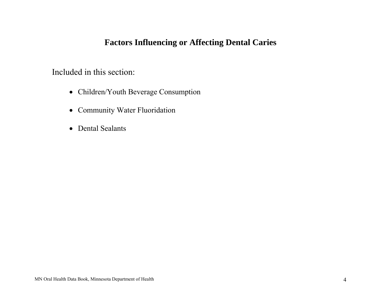### **Factors Influencing or Affecting Dental Caries**

Included in this section:

- Children/Youth Beverage Consumption
- Community Water Fluoridation
- Dental Sealants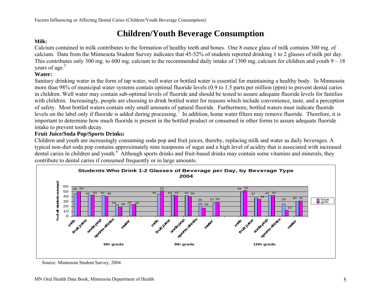### **Children/Youth Beverage Consumption**

#### **Milk:**

Calcium contained in milk contributes to the formation of healthy teeth and bones. One 8 ounce glass of milk contains 300 mg. of calcium. Data from the Minnesota Student Survey indicates that 45-52% of students reported drinking 1 to 2 glasses of milk per day. This contributes only 300 mg. to 600 mg. calcium to the recommended daily intake of 1300 mg. calcium for children and youth 9 – 18 years of age.<sup>5</sup>

#### **Water:**

Sanitary drinking water in the form of tap water, well water or bottled water is essential for maintaining a healthy body. In Minnesota more than 98% of municipal water systems contain optimal fluoride levels (0.9 to 1.5 parts per million (ppm) to prevent dental caries in children. Well water may contain sub-optimal levels of fluoride and should be tested to assure adequate fluoride levels for families with children. Increasingly, people are choosing to drink bottled water for reasons which include convenience, taste, and a perception of safety. Most bottled waters contain only small amounts of natural fluoride. Furthermore, bottled waters must indicate fluoride levels on the label only if fluoride is added during processing.<sup>7</sup> In addition, home water filters may remove fluoride. Therefore, it is important to determine how much fluoride is present in the bottled product or consumed in other forms to assure adequate fluoride intake to prevent tooth decay.

#### **Fruit Juice/Soda Pop/Sports Drinks:**

Children and youth are increasingly consuming soda pop and fruit juices, thereby, replacing milk and water as daily beverages. A typical non-diet soda pop contains approximately nine teaspoons of sugar and a high level of acidity that is associated with increased dental caries in children and youth.<sup>8</sup> Although sports drinks and fruit-based drinks may contain some vitamins and minerals, they contribute to dental caries if consumed frequently or in large amounts.



Source: Minnesota Student Survey, 2004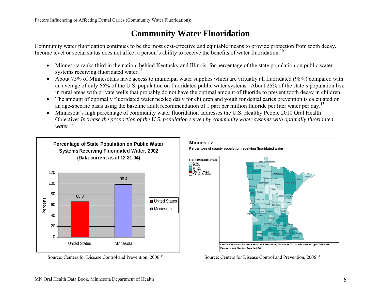#### **Community Water Fluoridation**

Community water fluoridation continues to be the most cost-effective and equitable means to provide protection from tooth decay. Income level or social status does not affect a person's ability to receive the benefits of water fluoridation.<sup>10</sup>

- Minnesota ranks third in the nation, behind Kentucky and Illinois, for percentage of the state population on public water systems receiving fluoridated water. $^{11}$
- About 75% of Minnesotans have access to municipal water supplies which are virtually all fluoridated (98%) compared with an average of only 66% of the U.S. population on fluoridated public water systems. About 25% of the state's population live in rural areas with private wells that probably do not have the optimal amount of fluoride to prevent tooth decay in children.
- The amount of optimally fluoridated water needed daily for children and youth for dental caries prevention is calculated on an age-specific basis using the baseline adult recommendation of 1 part per million fluoride per liter water per day.<sup>13</sup>
- Minnesota's high percentage of community water fluoridation addresses the U.S. Healthy People 2010 Oral Health Objective: *Increase the proportion of the U.S. population served by community water systems with optimally fluoridated water.*<sup>12</sup>





Source: Centers for Disease Control and Prevention, 2006<sup>14</sup> Source: Centers for Disease Control and Prevention. 2006<sup>15</sup>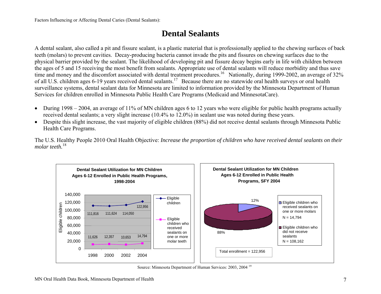### **Dental Sealants**

A dental sealant, also called a pit and fissure sealant, is a plastic material that is professionally applied to the chewing surfaces of back teeth (molars) to prevent cavities. Decay-producing bacteria cannot invade the pits and fissures on chewing surfaces due to the physical barrier provided by the sealant. The likelihood of developing pit and fissure decay begins early in life with children between the ages of 5 and 15 receiving the most benefit from sealants. Appropriate use of dental sealants will reduce morbidity and thus save time and money and the discomfort associated with dental treatment procedures.<sup>16</sup> Nationally, during 1999-2002, an average of 32% of all U.S. children ages 6-19 years received dental sealants.<sup>17</sup> Because there are no statewide oral health surveys or oral health surveillance systems, dental sealant data for Minnesota are limited to information provided by the Minnesota Department of Human Services for children enrolled in Minnesota Public Health Care Programs (Medicaid and MinnesotaCare).

- During 1998 2004, an average of 11% of MN children ages 6 to 12 years who were eligible for public health programs actually received dental sealants; a very slight increase (10.4% to 12.0%) in sealant use was noted during these years.
- Despite this slight increase, the vast majority of eligible children (88%) did not receive dental sealants through Minnesota Public Health Care Programs.

The U.S. Healthy People 2010 Oral Health Objective: *Increase the proportion of children who have received dental sealants on their molar teeth.*<sup>18</sup>



Source: Minnesota Department of Human Services: 2003, 2004 <sup>19</sup>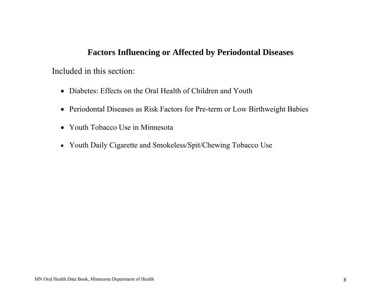#### **Factors Influencing or Affected by Periodontal Diseases**

#### Included in this section:

- Diabetes: Effects on the Oral Health of Children and Youth
- Periodontal Diseases as Risk Factors for Pre-term or Low Birthweight Babies
- Youth Tobacco Use in Minnesota
- Youth Daily Cigarette and Smokeless/Spit/Chewing Tobacco Use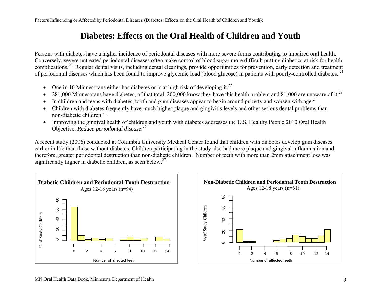Factors Influencing or Affected by Periodontal Diseases (Diabetes: Effects on the Oral Health of Children and Youth):

### **Diabetes: Effects on the Oral Health of Children and Youth**

Persons with diabetes have a higher incidence of periodontal diseases with more severe forms contributing to impaired oral health. Conversely, severe untreated periodontal diseases often make control of blood sugar more difficult putting diabetics at risk for health complications.<sup>20</sup> Regular dental visits, including dental cleanings, provide opportunities for prevention, early detection and treatment of periodontal diseases which has been found to improve glycemic load (blood glucose) in patients with poorly-controlled diabetes. <sup>21</sup>

- $\bullet$ One in 10 Minnesotans either has diabetes or is at high risk of developing it.<sup>22</sup>
- •281,000 Minnesotans have diabetes; of that total, 200,000 know they have this health problem and 81,000 are unaware of it.<sup>23</sup>
- •In children and teens with diabetes, tooth and gum diseases appear to begin around puberty and worsen with age. $^{24}$
- • Children with diabetes frequently have much higher plaque and gingivitis levels and other serious dental problems than non-diabetic children. $25$
- Improving the gingival health of children and youth with diabetes addresses the U.S. Healthy People 2010 Oral Health Objective: *Reduce periodontal disease*.<sup>26</sup>

A recent study (2006) conducted at Columbia University Medical Center found that children with diabetes develop gum diseases earlier in life than those without diabetes. Children participating in the study also had more plaque and gingival inflammation and, therefore, greater periodontal destruction than non-diabetic children. Number of teeth with more than 2mm attachment loss was significantly higher in diabetic children, as seen below.<sup>27</sup>



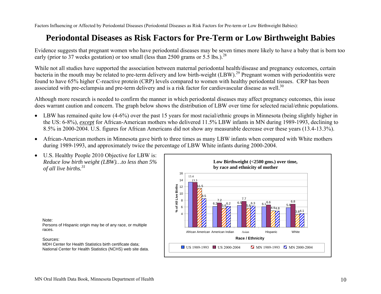Factors Influencing or Affected by Periodontal Diseases (Periodontal Diseases as Risk Factors for Pre-term or Low Birthweight Babies):

### **Periodontal Diseases as Risk Factors for Pre-Term or Low Birthweight Babies**

Evidence suggests that pregnant women who have periodontal diseases may be seven times more likely to have a baby that is born too early (prior to 37 weeks gestation) or too small (less than 2500 grams or 5.5 lbs.).<sup>28</sup>

While not all studies have supported the association between maternal periodontal health/disease and pregnancy outcomes, certain bacteria in the mouth may be related to pre-term delivery and low birth-weight (LBW).<sup>29</sup> Pregnant women with periodontitis were found to have 65% higher C-reactive protein (CRP) levels compared to women with healthy periodontal tissues. CRP has been associated with pre-eclampsia and pre-term delivery and is a risk factor for cardiovascular disease as well.<sup>30</sup>

Although more research is needed to confirm the manner in which periodontal diseases may affect pregnancy outcomes, this issue does warrant caution and concern. The graph below shows the distribution of LBW over time for selected racial/ethnic populations.

- LBW has remained quite low (4-6%) over the past 15 years for most racial/ethnic groups in Minnesota (being slightly higher in the US: 6-8%), *excep<sup>t</sup>* for African-American mothers who delivered 11.5% LBW infants in MN during 1989-1993, declining to 8.5% in 2000-2004. U.S. figures for African Americans did not show any measurable decrease over these years (13.4-13.3%).
- African-American mothers in Minnesota gave birth to three times as many LBW infants when compared with White mothers during 1989-1993, and approximately twice the percentage of LBW White infants during 2000-2004.
- U.S. Healthy People 2010 Objective for LBW is: *Reduce low birth weight (LBW)…to less than 5% of all live births.<sup>31</sup>*

Note: Persons of Hispanic origin may be of any race, or multiple races.

#### Sources:

MDH Center for Health Statistics birth certificate data; National Center for Health Statistics (NCHS) web site data.

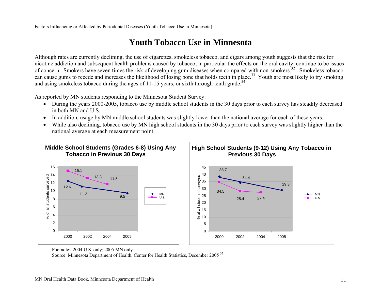Factors Influencing or Affected by Periodontal Diseases (Youth Tobacco Use in Minnesota):

### **Youth Tobacco Use in Minnesota**

Although rates are currently declining, the use of cigarettes, smokeless tobacco, and cigars among youth suggests that the risk for nicotine addiction and subsequent health problems caused by tobacco, in particular the effects on the oral cavity, continue to be issues of concern. Smokers have seven times the risk of developing gum diseases when compared with non-smokers.<sup>32</sup> Smokeless tobacco can cause gums to recede and increases the likelihood of losing bone that holds teeth in place.<sup>33</sup> Youth are most likely to try smoking and using smokeless tobacco during the ages of 11-15 years, or sixth through tenth grade.<sup>34</sup>

As reported by MN students responding to the Minnesota Student Survey:

- During the years 2000-2005, tobacco use by middle school students in the 30 days prior to each survey has steadily decreased in both MN and U.S.
- •In addition, usage by MN middle school students was slightly lower than the national average for each of these years.
- • While also declining, tobacco use by MN high school students in the 30 days prior to each survey was slightly higher than the national average at each measurement point.



Footnote: 2004 U.S. only; 2005 MN only

Source: Minnesota Department of Health, Center for Health Statistics, December 2005 <sup>35</sup>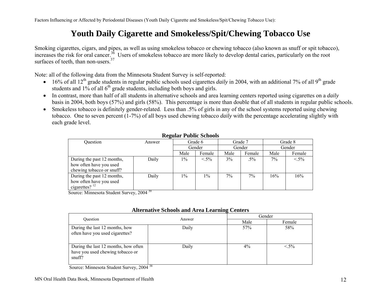Factors Influencing or Affected by Periodontal Diseases (Youth Daily Cigarette and Smokeless/Spit/Chewing Tobacco Use):

### **Youth Daily Cigarette and Smokeless/Spit/Chewing Tobacco Use**

Smoking cigarettes, cigars, and pipes, as well as using smokeless tobacco or chewing tobacco (also known as snuff or spit tobacco), increases the risk for oral cancer.<sup>36</sup> Users of smokeless tobacco are more likely to develop dental caries, particularly on the root surfaces of teeth, than non-users. $37$ 

Note: all of the following data from the Minnesota Student Survey is self-reported:

- $\bullet$  16% of all 12<sup>th</sup> grade students in regular public schools used cigarettes *daily* in 2004, with an additional 7% of all 9<sup>th</sup> grade students and  $1\%$  of all  $6<sup>th</sup>$  grade students, including both boys and girls.
- In contrast, more than half of all students in alternative schools and area learning centers reported using cigarettes on a *daily* basis in 2004, both boys (57%) and girls (58%). This percentage is more than double that of all students in regular public schools.
- Smokeless tobacco is definitely gender-related. Less than .5% of girls in any of the school systems reported using chewing tobacco. One to seven percent (1-7%) of all boys used chewing tobacco *daily* with the percentage accelerating slightly with each grade level.

| Question                                                                           | Answer                   |       | Grade 6 |      | Grade 7 |       | Grade 8 |
|------------------------------------------------------------------------------------|--------------------------|-------|---------|------|---------|-------|---------|
|                                                                                    |                          |       | Gender  |      | Gender  |       | Gender  |
|                                                                                    |                          | Male  | Female  | Male | Female  | Male  | Female  |
| During the past 12 months,<br>how often have you used<br>chewing tobacco or snuff? | Daily                    | $1\%$ | $< 5\%$ | 3%   | $.5\%$  | $7\%$ | $< 5\%$ |
| During the past 12 months,<br>how often have you used<br>cigarettes? $^{12}$       | Daily<br>$\overline{20}$ | $1\%$ | $1\%$   | 7%   | 7%      | 16%   | 16%     |

#### **Regular Public Schools**

Source: Minnesota Student Survey, 2004 <sup>39</sup>

| Ouestion                                                                           | Answer |       | Gender  |
|------------------------------------------------------------------------------------|--------|-------|---------|
|                                                                                    |        | Male  | Female  |
| During the last 12 months, how<br>often have you used cigarettes?                  | Daily  | 57%   | 58%     |
| During the last 12 months, how often<br>have you used chewing tobacco or<br>snuff? | Daily  | $4\%$ | $< 5\%$ |

#### **Alternative Schools and Area Learning Centers**

Source: Minnesota Student Survey, 2004 <sup>38</sup>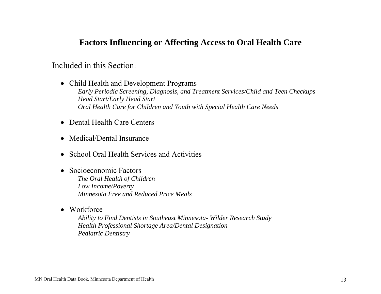#### **Factors Influencing or Affecting Access to Oral Health Care**

#### Included in this Section:

- Child Health and Development Programs *Early Periodic Screening, Diagnosis, and Treatment Services/Child and Teen Checkups Head Start/Early Head Start Oral Health Care for Children and Youth with Special Health Care Needs*
- Dental Health Care Centers
- Medical/Dental Insurance
- School Oral Health Services and Activities
- Socioeconomic Factors *The Oral Health of Children Low Income/Poverty Minnesota Free and Reduced Price Meals*
- Workforce

*Ability to Find Dentists in Southeast Minnesota- Wilder Research Study Health Professional Shortage Area/Dental Designation Pediatric Dentistry*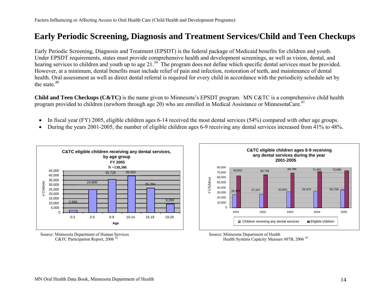### **Early Periodic Screening, Diagnosis and Treatment Services/Child and Teen Checkups**

Early Periodic Screening, Diagnosis and Treatment (EPSDT) is the federal package of Medicaid benefits for children and youth. Under EPSDT requirements, states must provide comprehensive health and development screenings, as well as vision, dental, and hearing services to children and youth up to age 21.<sup>39</sup> The program does not define which specific dental services must be provided. However, at a minimum, dental benefits must include relief of pain and infection, restoration of teeth, and maintenance of dental health. Oral assessment as well as direct dental referral is required for every child in accordance with the periodicity schedule set by the state  $40$ 

**Child and Teen Checkups (C&TC)** is the name given to Minnesota's EPSDT program. MN C&TC is a comprehensive child health program provided to children (newborn through age 20) who are enrolled in Medical Assistance or MinnesotaCare.<sup>41</sup>

- •In fiscal year (FY) 2005, eligible children ages 6-14 received the most dental services (54%) compared with other age groups.
- •During the years 2001-2005, the number of eligible children ages 6-9 receiving any dental services increased from 41% to 48%.







Health Systems Capacity Measure #07B, 2006  $43$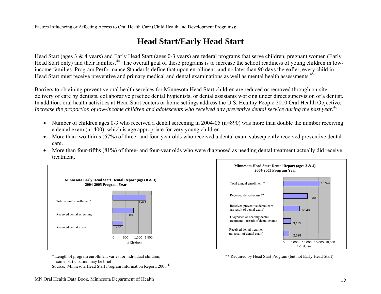Factors Influencing or Affecting Access to Oral Health Care (Child Health and Development Programs):

### **Head Start/Early Head Start**

Head Start (ages 3 & 4 years) and Early Head Start (ages 0-3 years) are federal programs that serve children, pregnant women (Early Head Start only) and their families.<sup>44</sup> The overall goal of these programs is to increase the school readiness of young children in lowincome families. Program Performance Standards define that upon enrollment, and no later than 90 days thereafter, every child in Head Start must receive preventive and primary medical and dental examinations as well as mental health assessments.<sup>45</sup>

Barriers to obtaining preventive oral health services for Minnesota Head Start children are reduced or removed through on-site delivery of care by dentists, collaborative practice dental hygienists, or dental assistants working under direct supervision of a dentist. In addition, oral health activities at Head Start centers or home settings address the U.S. Healthy People 2010 Oral Health Objective: *Increase the proportion of low-income children and adolescents who received any preventive dental service during the past year.*<sup>46</sup>

- Number of children ages 0-3 who received a dental screening in 2004-05 (n=890) was more than double the number receiving a dental exam (n=400), which is age appropriate for very young children.
- More than two-thirds (67%) of three- and four-year olds who received a dental exam subsequently received preventive dental care.
- $\bullet$  More than four-fifths (81%) of three- and four-year olds who were diagnosed as needing dental treatment actually did receive treatment.



 \* Length of program enrollment varies for individual children; \*\* Required by Head Start Program (but not Early Head Start) some participation may be brief

Source: Minnesota Head Start Program Information Report, 2006 <sup>47</sup>

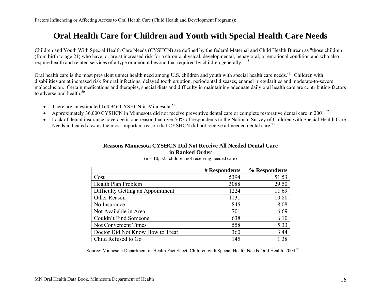### **Oral Health Care for Children and Youth with Special Health Care Needs**

Children and Youth With Special Health Care Needs (CYSHCN) are defined by the federal Maternal and Child Health Bureau as "those children (from birth to age 21) who have, or are at increased risk for a chronic physical, developmental, behavioral, or emotional condition and who also require health and related services of a type or amount beyond that required by children generally." <sup>48</sup>

Oral health care is the most prevalent unmet health need among U.S. children and youth with special health care needs.<sup>49</sup> Children with disabilities are at increased risk for oral infections, delayed tooth eruption, periodontal diseases, enamel irregularities and moderate-to-severe malocclusion. Certain medications and therapies, special diets and difficulty in maintaining adequate daily oral health care are contributing factors to adverse oral health  $50$ 

- •There are an estimated 160,946 CYSHCN in Minnesota.<sup>51</sup>
- •Approximately 36,000 CYSHCN in Minnesota did not receive preventive dental care or complete restorative dental care in 2001.<sup>52</sup>
- Lack of dental insurance coverage is one reason that over 50% of respondents to the National Survey of Children with Special Health Care Needs indicated *cost* as the most important reason that CYSHCN did not receive all needed dental care.<sup>53</sup>

### **Reasons Minnesota CYSHCN Did Not Receive All Needed Dental Care**

#### **in Ranked Order**

|                                   | # Respondents | % Respondents |
|-----------------------------------|---------------|---------------|
| Cost                              | 5394          | 51.53         |
| Health Plan Problem               | 3088          | 29.50         |
| Difficulty Getting an Appointment | 1224          | 11.69         |
| Other Reason                      | 1131          | 10.80         |
| No Insurance                      | 845           | 8.08          |
| Not Available in Area             | 701           | 6.69          |
| Couldn't Find Someone             | 638           | 6.10          |
| Not Convenient Times              | 558           | 5.33          |
| Doctor Did Not Know How to Treat  | 360           | 3.44          |
| Child Refused to Go               | 145           | 1.38          |

 $(n = 10, 525)$  children not receiving needed care)

Source: Minnesota Department of Health Fact Sheet, Children with Special Health Needs-Oral Health, 2004 <sup>54</sup>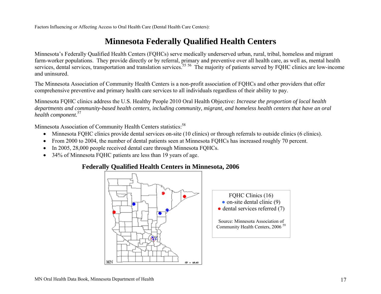Factors Influencing or Affecting Access to Oral Health Care (Dental Health Care Centers):

### **Minnesota Federally Qualified Health Centers**

Minnesota's Federally Qualified Health Centers (FQHCs) serve medically underserved urban, rural, tribal, homeless and migrant farm-worker populations. They provide directly or by referral, primary and preventive over all health care, as well as, mental health services, dental services, transportation and translation services.<sup>55 56</sup> The majority of patients served by FQHC clinics are low-income and uninsured.

The Minnesota Association of Community Health Centers is a non-profit association of FQHCs and other providers that offer comprehensive preventive and primary health care services to all individuals regardless of their ability to pay.

Minnesota FQHC clinics address the U.S. Healthy People 2010 Oral Health Objective: *Increase the proportion of local health departments and community-based health centers, including community, migrant, and homeless health centers that have an oral health component.*<sup>57</sup>

Minnesota Association of Community Health Centers statistics:<sup>58</sup>

- Minnesota FQHC clinics provide dental services on-site (10 clinics) or through referrals to outside clinics (6 clinics).
- $\bullet$ From 2000 to 2004, the number of dental patients seen at Minnesota FQHCs has increased roughly 70 percent.
- •In 2005, 28,000 people received dental care through Minnesota FQHCs.
- 34% of Minnesota FQHC patients are less than 19 years of age.

#### **Federally Qualified Health Centers in Minnesota, 2006**

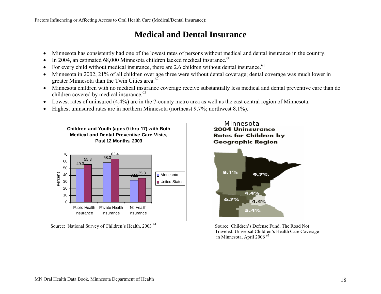Factors Influencing or Affecting Access to Oral Health Care (Medical/Dental Insurance):

### **Medical and Dental Insurance**

- •Minnesota has consistently had one of the lowest rates of persons without medical and dental insurance in the country.
- •In 2004, an estimated  $68,000$  Minnesota children lacked medical insurance.<sup>60</sup>
- •For every child without medical insurance, there are 2.6 children without dental insurance.<sup>61</sup>
- • Minnesota in 2002, 21% of all children over age three were without dental coverage; dental coverage was much lower in greater Minnesota than the Twin Cities area.<sup>62</sup>
- Minnesota children with no medical insurance coverage receive substantially less medical and dental preventive care than do children covered by medical insurance.<sup>63</sup>
- •Lowest rates of uninsured (4.4%) are in the 7-county metro area as well as the east central region of Minnesota.
- •Highest uninsured rates are in northern Minnesota (northeast 9.7%; northwest 8.1%).



Source: National Survey of Children's Health, 2003<sup>64</sup> Source: Children's Defense Fund, The Road Not



 Traveled: Universal Children's Health Care Coverage in Minnesota, April 2006 <sup>65</sup>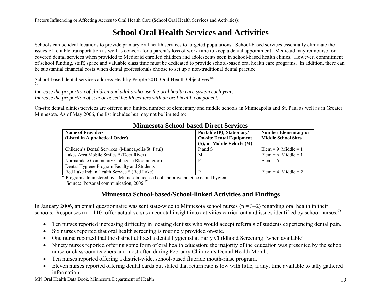Factors Influencing or Affecting Access to Oral Health Care (School Oral Health Services and Activities):

### **School Oral Health Services and Activities**

Schools can be ideal locations to provide primary oral health services to targeted populations. School-based services essentially eliminate the issues of reliable transportation as well as concern for a parent's loss of work time to keep a dental appointment. Medicaid may reimburse for covered dental services when provided to Medicaid enrolled children and adolescents seen in school-based health clinics. However, commitment of school funding, staff, space and valuable class time must be dedicated to provide school-based oral health care programs. In addition, there can be substantial financial costs when dental professionals choose to set up a non-traditional dental practice

School-based dental services address Healthy People 2010 Oral Health Objectives:<sup>66</sup> 71

*Increase the proportion of children and adults who use the oral health care system each year. Increase the proportion of school-based health centers with an oral health component.* 

On-site dental clinics/services are offered at a limited number of elementary and middle schools in Minneapolis and St. Paul as well as in Greater Minnesota. As of May 2006, the list includes but may not be limited to:

| <b>Name of Providers</b><br>(Listed in Alphabetical Order)                                  | Portable (P); Stationary/<br><b>On-site Dental Equipment</b><br>(S); or Mobile Vehicle (M) | <b>Number Elementary or</b><br><b>Middle School Sites</b> |
|---------------------------------------------------------------------------------------------|--------------------------------------------------------------------------------------------|-----------------------------------------------------------|
| Children's Dental Services (Minneapolis/St. Paul)                                           | P and S                                                                                    | Elem = 9 Middle = 1                                       |
| Lakes Area Mobile Smiles * (Deer River)                                                     | M                                                                                          | Elem = 6 Middle = 1                                       |
| Normandale Community College - (Bloomington)<br>Dental Hygiene Program Faculty and Students |                                                                                            | $Elem = 5$                                                |
| Red Lake Indian Health Service * (Red Lake)                                                 |                                                                                            | Elem = 4 Middle = $2$                                     |

#### **Minnesota School-based Direct Services**

\* Program administered by a Minnesota licensed collaborative practice dental hygienist

Source: Personal communication, 2006<sup>67</sup>

#### **Minnesota School-based/School-linked Activities and Findings**

In January 2006, an email questionnaire was sent state-wide to Minnesota school nurses ( $n = 342$ ) regarding oral health in their schools. Responses ( $n = 110$ ) offer actual versus anecdotal insight into activities carried out and issues identified by school nurses.<sup>68</sup>

- $\bullet$ Ten nurses reported increasing difficulty in locating dentists who would accept referrals of students experiencing dental pain.
- $\bullet$ Six nurses reported that oral health screening is routinely provided on-site.
- •One nurse reported that the district utilized a dental hygienist at Early Childhood Screening "when available"
- $\bullet$  Ninety nurses reported offering some form of oral health education; the majority of the education was presented by the school nurse or classroom teachers and most often during February Children's Dental Health Month.
- $\bullet$ Ten nurses reported offering a district-wide, school-based fluoride mouth-rinse program.
- $\bullet$  Eleven nurses reported offering dental cards but stated that return rate is low with little, if any, time available to tally gathered information.

MN Oral Health Data Book, Minnesota Department of Health 19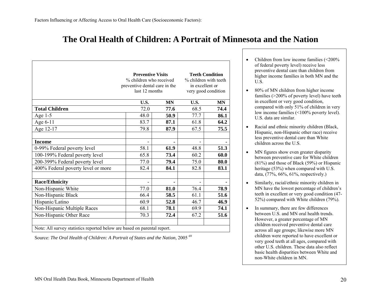### **The Oral Health of Children: A Portrait of Minnesota and the Nation**

|                                    | <b>Preventive Visits</b><br>% children who received<br>preventive dental care in the<br>last 12 months |           | <b>Teeth Condition</b><br>% children with teeth<br>in excellent or<br>very good condition |           |
|------------------------------------|--------------------------------------------------------------------------------------------------------|-----------|-------------------------------------------------------------------------------------------|-----------|
|                                    | U.S.                                                                                                   | <b>MN</b> | U.S.                                                                                      | <b>MN</b> |
| <b>Total Children</b>              | 72.0                                                                                                   | 77.6      | 68.5                                                                                      | 74.4      |
| Age $1-5$                          | 48.0                                                                                                   | 50.9      | 77.7                                                                                      | 86.1      |
| Age 6-11                           | 83.7                                                                                                   | 87.1      | 61.8                                                                                      | 64.2      |
| Age 12-17                          | 79.8                                                                                                   | 87.9      | 67.5                                                                                      | 75.5      |
|                                    |                                                                                                        |           |                                                                                           |           |
| <b>Income</b>                      |                                                                                                        |           |                                                                                           |           |
| 0-99% Federal poverty level        | 58.1                                                                                                   | 61.9      | 48.8                                                                                      | 51.3      |
| 100-199% Federal poverty level     | 65.8                                                                                                   | 73.4      | 60.2                                                                                      | 60.0      |
| 200-399% Federal poverty level     | 77.0                                                                                                   | 79.4      | 75.0                                                                                      | 80.0      |
| 400% Federal poverty level or more | 82.4                                                                                                   | 84.1      | 82.8                                                                                      | 83.1      |
|                                    |                                                                                                        |           |                                                                                           |           |
| <b>Race/Ethnicity</b>              |                                                                                                        |           |                                                                                           |           |
| Non-Hispanic White                 | 77.0                                                                                                   | 81.0      | 76.4                                                                                      | 78.9      |
| Non-Hispanic Black                 | 66.4                                                                                                   | 58.5      | 61.1                                                                                      | 51.6      |
| Hispanic/Latino                    | 60.9                                                                                                   | 52.8      | 46.7                                                                                      | 46.9      |
| Non-Hispanic Multiple Races        | 68.1                                                                                                   | 78.1      | 69.9                                                                                      | 74.1      |
| Non-Hispanic Other Race            | 70.3                                                                                                   | 72.4      | 67.2                                                                                      | 51.6      |

Source: *The Oral Health of Children: A Portrait of States and the Nation*, 2005<sup>69</sup>

- • Children from low income families (<200% of federal poverty level) receive less preventive dental care than children from higher income families in both MN and the U.S.
- • 80% of MN children from higher income families (>200% of poverty level) have teeth in excellent or very good condition, compared with only 51% of children in very low income families (<100% poverty level). U.S. data are similar.
- • Racial and ethnic minority children (Black, Hispanic, non-Hispanic other race) receive less preventive dental care than White children across the U.S.
- • MN figures show even greater disparity between preventive care for White children (81%) and those of Black (59%) or Hispanic heritage (53%) when compared with U.S. data, (77%, 66%, 61%, respectively.)
- • Similarly, racial/ethnic minority children in MN have the lowest percentage of children's teeth in excellent or very good condition (47- 52%) compared with White children (79%).
- • In summary, there are few differences between U.S. and MN oral health trends. However, a greater percentage of MN children received preventive dental care across all age groups; likewise more MN children were reported to have excellent or very good teeth at all ages, compared with other U.S. children. These data also reflect basic health disparities between White and non-White children in MN.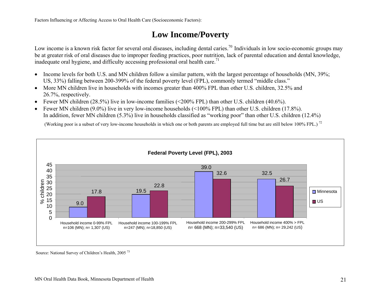Factors Influencing or Affecting Access to Oral Health Care (Socioeconomic Factors):

### **Low Income/Poverty**

Low income is a known risk factor for several oral diseases, including dental caries.<sup>70</sup> Individuals in low socio-economic groups may be at greater risk of oral diseases due to improper feeding practices, poor nutrition, lack of parental education and dental knowledge, inadequate oral hygiene, and difficulty accessing professional oral health care.<sup>71</sup>

- Income levels for both U.S. and MN children follow a similar pattern, with the largest percentage of households (MN, 39%; US, 33%) falling between 200-399% of the federal poverty level (FPL), commonly termed "middle class."
- More MN children live in households with incomes greater than 400% FPL than other U.S. children, 32.5% and 26.7%, respectively.
- Fewer MN children (28.5%) live in low-income families (<200% FPL) than other U.S. children (40.6%).
- •Fewer MN children (9.0%) live in very low-income households (<100% FPL) than other U.S. children (17.8%). In addition, fewer MN children (5.3%) live in households classified as "working poor" than other U.S. children (12.4%)

(Working poor is a subset of very low-income households in which one or both parents are employed full time but are still below 100% FPL.)<sup>72</sup>



Source: National Survey of Children's Health, 2005 <sup>73</sup>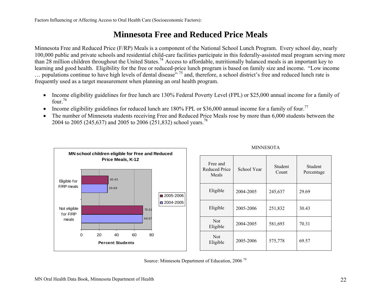### **Minnesota Free and Reduced Price Meals**

Minnesota Free and Reduced Price (F/RP) Meals is a component of the National School Lunch Program. Every school day, nearly 100,000 public and private schools and residential child-care facilities participate in this federally-assisted meal program serving more than 28 million children throughout the United States.<sup>74</sup> Access to affordable, nutritionally balanced meals is an important key to learning and good health. Eligibility for the free or reduced-price lunch program is based on family size and income. "Low income  $\ldots$  populations continue to have high levels of dental disease<sup>"</sup> <sup>75</sup> and, therefore, a school district's free and reduced lunch rate is frequently used as a target measurement when planning an oral health program.

- $\bullet$  Income eligibility guidelines for free lunch are 130% Federal Poverty Level (FPL) or \$25,000 annual income for a family of four.<sup>76</sup>
- •Income eligibility guidelines for reduced lunch are 180% FPL or \$36,000 annual income for a family of four.<sup>77</sup>
- $\bullet$  The number of Minnesota students receiving Free and Reduced Price Meals rose by more than 6,000 students between the 2004 to 2005 (245,637) and 2005 to 2006 (251,832) school years.<sup>78</sup>



| Free and<br><b>Reduced Price</b><br>Meals | School Year | Student<br>Count | Student<br>Percentage |
|-------------------------------------------|-------------|------------------|-----------------------|
| Eligible                                  | 2004-2005   | 245,637          | 29.69                 |
| Eligible                                  | 2005-2006   | 251,832          | 30.43                 |
| <b>Not</b><br>Eligible                    | 2004-2005   | 581,693          | 70.31                 |
| <b>Not</b><br>Eligible                    | 2005-2006   | 575,778          | 69.57                 |

**MINNESOTA** 

Source: Minnesota Department of Education, 2006 <sup>79</sup>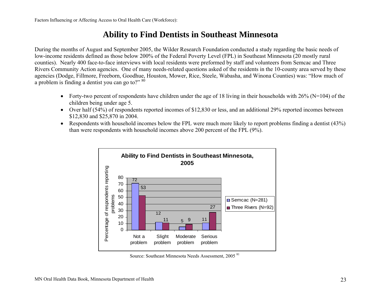#### **Ability to Find Dentists in Southeast Minnesota**

During the months of August and September 2005, the Wilder Research Foundation conducted a study regarding the basic needs of low-income residents defined as those below 200% of the Federal Poverty Level (FPL) in Southeast Minnesota (20 mostly rural counties). Nearly 400 face-to-face interviews with local residents were preformed by staff and volunteers from Semcac and Three Rivers Community Action agencies. One of many needs-related questions asked of the residents in the 10-county area served by these agencies (Dodge, Fillmore, Freeborn, Goodhue, Houston, Mower, Rice, Steele, Wabasha, and Winona Counties) was: "How much of a problem is finding a dentist you can go to?"  $80$ 

- Forty-two percent of respondents have children under the age of 18 living in their households with  $26\%$  (N=104) of the children being under age 5.
- Over half (54%) of respondents reported incomes of \$12,830 or less, and an additional 29% reported incomes between \$12,830 and \$25,870 in 2004.
- Respondents with household incomes below the FPL were much more likely to report problems finding a dentist (43%) than were respondents with household incomes above 200 percent of the FPL (9%).



Source: Southeast Minnesota Needs Assessment, 2005 <sup>81</sup>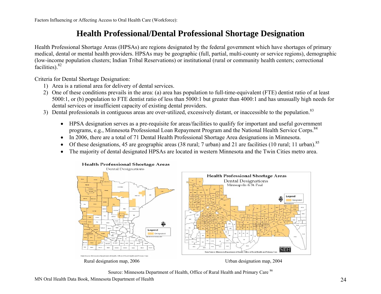### **Health Professional/Dental Professional Shortage Designation**

Health Professional Shortage Areas (HPSAs) are regions designated by the federal government which have shortages of primary medical, dental or mental health providers. HPSAs may be geographic (full, partial, multi-county or service regions), demographic (low-income population clusters; Indian Tribal Reservations) or institutional (rural or community health centers; correctional facilities).<sup>82</sup>

Criteria for Dental Shortage Designation:

- 1) Area is a rational area for delivery of dental services.
- 2) One of these conditions prevails in the area: (a) area has population to full-time-equivalent (FTE) dentist ratio of at least 5000:1, or (b) population to FTE dentist ratio of less than 5000:1 but greater than 4000:1 and has unusually high needs for dental services or insufficient capacity of existing dental providers.
- 3) Dental professionals in contiguous areas are over-utilized, excessively distant, or inaccessible to the population.<sup>83</sup>
	- HPSA designation serves as a pre-requisite for areas/facilities to qualify for important and useful government programs, e.g., Minnesota Professional Loan Repayment Program and the National Health Service Corps.<sup>84</sup>
	- In 2006, there are a total of 71 Dental Health Professional Shortage Area designations in Minnesota.
	- •Of these designations, 45 are geographic areas (38 rural; 7 urban) and 21 are facilities (10 rural; 11 urban).<sup>85</sup>
	- •The majority of dental designated HPSAs are located in western Minnesota and the Twin Cities metro area.



Source: Minnesota Department of Health, Office of Rural Health and Primary Care <sup>86</sup>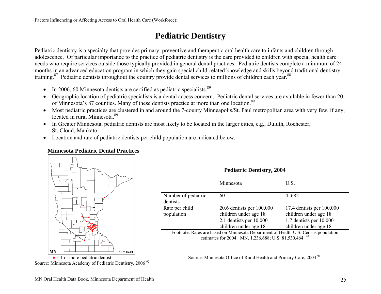### **Pediatric Dentistry**

Pediatric dentistry is a specialty that provides primary, preventive and therapeutic oral health care to infants and children through adolescence. Of particular importance to the practice of pediatric dentistry is the care provided to children with special health care needs who require services outside those typically provided in general dental practices. Pediatric dentists complete a minimum of 24 months in an advanced education program in which they gain special child-related knowledge and skills beyond traditional dentistry training.<sup>87</sup> Pediatric dentists throughout the country provide dental services to millions of children each year.<sup>88</sup>

- •In 2006, 60 Minnesota dentists are certified as pediatric specialists.<sup>89</sup>
- $\bullet$  Geographic location of pediatric specialists is a dental access concern. Pediatric dental services are available in fewer than 20 of Minnesota's 87 counties. Many of these dentists practice at more than one location.<sup>89</sup>
- Most pediatric practices are clustered in and around the 7-county Minneapolis/St. Paul metropolitan area with very few, if any, located in rural Minnesota<sup>89</sup>
- In Greater Minnesota, pediatric dentists are most likely to be located in the larger cities, e.g., Duluth, Rochester, St. Cloud, Mankato.
- Location and rate of pediatric dentists per child population are indicated below.

#### **Minnesota Pediatric Dental Practices**



Source: Minnesota Academy of Pediatric Dentistry, 2006<sup>92</sup>

| <b>Pediatric Dentistry, 2004</b>                                                                                                               |                           |                           |  |  |
|------------------------------------------------------------------------------------------------------------------------------------------------|---------------------------|---------------------------|--|--|
|                                                                                                                                                | Minnesota                 | U.S.                      |  |  |
| Number of pediatric<br>dentists                                                                                                                | 60                        | 4,682                     |  |  |
| Rate per child                                                                                                                                 | 20.6 dentists per 100,000 | 17.4 dentists per 100,000 |  |  |
| population                                                                                                                                     | children under age 18     | children under age 18     |  |  |
|                                                                                                                                                | 2.1 dentists per $10,000$ | 1.7 dentists per 10,000   |  |  |
|                                                                                                                                                | children under age 18     | children under age 18     |  |  |
| Footnote: Rates are based on Minnesota Department of Health U.S. Census population<br>estimates for 2004: MN, 1,236,688; U.S. 81,530,464<br>90 |                           |                           |  |  |

Source: Minnesota Office of Rural Health and Primary Care, 2004<sup>91</sup>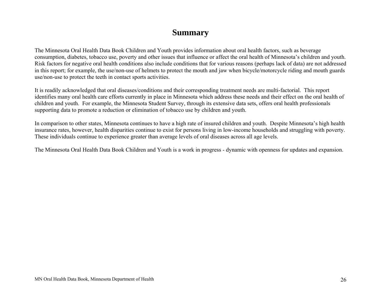#### **Summary**

The Minnesota Oral Health Data Book Children and Youth provides information about oral health factors, such as beverage consumption, diabetes, tobacco use, poverty and other issues that influence or affect the oral health of Minnesota's children and youth. Risk factors for negative oral health conditions also include conditions that for various reasons (perhaps lack of data) are not addressed in this report; for example, the use/non-use of helmets to protect the mouth and jaw when bicycle/motorcycle riding and mouth guards use/non-use to protect the teeth in contact sports activities.

It is readily acknowledged that oral diseases/conditions and their corresponding treatment needs are multi-factorial. This report identifies many oral health care efforts currently in place in Minnesota which address these needs and their effect on the oral health of children and youth. For example, the Minnesota Student Survey, through its extensive data sets, offers oral health professionals supporting data to promote a reduction or elimination of tobacco use by children and youth.

In comparison to other states, Minnesota continues to have a high rate of insured children and youth. Despite Minnesota's high health insurance rates, however, health disparities continue to exist for persons living in low-income households and struggling with poverty. These individuals continue to experience greater than average levels of oral diseases across all age levels.

The Minnesota Oral Health Data Book Children and Youth is a work in progress - dynamic with openness for updates and expansion.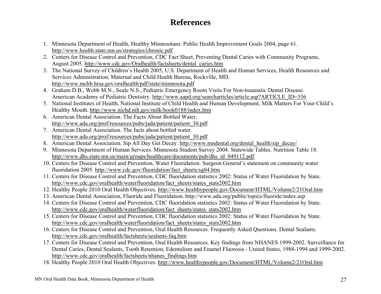### **References**

- 1. Minnesota Department of Health, Healthy Minnesotans: Public Health Improvement Goals 2004, page 61. http://www.health.state.mn.us/strategies/chronic.pdf
- 2. Centers for Disease Control and Prevention, CDC Fact Sheet, Preventing Dental Caries with Community Programs, August 2005. http://www.cdc.gov/Oralhealth/factsheets/dental\_caries.htm
- 3. The National Survey of Children's Health 2005, U.S. Department of Health and Human Services, Health Resources and Services Administration, Maternal and Child Health Bureau, Rockville, MD. http://www.mchb.hrsa.gov/oralhealth/pdf/state/minnesota.pdf
- 4. Graham D.B., Webb M.N., Seale N.S., Pediatric Emergency Room Visits For Non-traumatic Dental Disease. American Academy of Pediatric Dentistry. http://www.aapd.org/searcharticles/article.asp?ARTICLE\_ID=336
- 5. National Institutes of Health, National Institute of Child Health and Human Development, Milk Matters For Your Child's Healthy Mouth. http://www.nichd.nih.gov/milk/book0188/index.htm
- 6. American Dental Association. The Facts About Bottled Water. http://www.ada.org/prof/resources/pubs/jada/patient/patient\_30.pdf
- 7. American Dental Association. The facts about bottled water. http://www.ada.org/prof/resources/pubs/jada/patient/patient\_30.pdf
- 8. American Dental Association. Sip All Day Get Decay. http://www.mndental.org/dental\_health/sip\_decay/
- 9. Minnesota Department of Human Services. Minnesota Student Survey 2004. Statewide Tables. Nutrition Table 18. http://www.dhs.state.mn.us/main/groups/healthcare/documents/pub/dhs\_id\_049112.pdf
- 10. Centers for Disease Control and Prevention, Water Fluoridation. Surgeon General's statement on community water fluoridation 2005. http://www.cdc.gov/fluoridation/fact\_sheets/sg04.htm
- 11. Centers for Disease Control and Prevention, CDC fluoridation statistics 2002: Status of Water Fluoridation by State. http://www.cdc.gov/oralhealth/waterfluoridation/fact\_sheets/states\_stats2002.htm
- 12. Healthy People 2010 Oral Health Objectives. http://www.healthypeople.gov/Document/HTML/Volume2/21Oral.htm
- 13. American Dental Association, Fluoride and Fluoridation. http://www.ada.org/public/topics/fluoride/index.asp
- 14. Centers for Disease Control and Prevention, CDC fluoridation statistics 2002: Status of Water Fluoridation by State. http://www.cdc.gov/oralhealth/waterfluoridation/fact\_sheets/states\_stats2002.htm
- 15. Centers for Disease Control and Prevention, CDC fluoridation statistics 2002: Status of Water Fluoridation by State. http://www.cdc.gov/oralhealth/waterfluoridation/fact\_sheets/states\_stats2002.htm
- 16. Centers for Disease Control and Prevention, Oral Health Resources. Frequently Asked Questions. Dental Sealants. http://www.cdc.gov/oralhealth/factsheets/sealants-faq.htm
- 17. Centers for Disease Control and Prevention, Oral Health Resources. Key findings from NHANES 1999-2002. Surveillance for Dental Caries, Dental Sealants, Tooth Retention, Edentulism and Enamel Fluorosis - United States, 1988-1994 and 1999-2002. http://www.cdc.gov/oralhealth/factsheets/nhanes\_findings.htm
- 18. Healthy People 2010 Oral Health Objectives. http://www.healthypeople.gov/Document/HTML/Volume2/21Oral.htm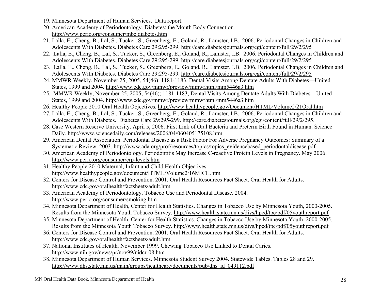- 19. Minnesota Department of Human Services. Data report.
- 20. American Academy of Periodontology. Diabetes: the Mouth Body Connection. http://www.perio.org/consumer/mbc.diabetes.htm
- 21. Lalla, E., Cheng. B., Lal, S., Tucker, S., Greenberg, E., Goland, R., Lamster, I.B. 2006. Periodontal Changes in Children and Adolescents With Diabetes. Diabetes Care 29:295-299. http://care.diabetesjournals.org/cgi/content/full/29/2/295
- 22. Lalla, E., Cheng. B., Lal, S., Tucker, S., Greenberg, E., Goland, R., Lamster, I.B. 2006. Periodontal Changes in Children and Adolescents With Diabetes. Diabetes Care 29:295-299. http://care.diabetesjournals.org/cgi/content/full/29/2/295
- 23. Lalla, E., Cheng. B., Lal, S., Tucker, S., Greenberg, E., Goland, R., Lamster, I.B. 2006. Periodontal Changes in Children and Adolescents With Diabetes. Diabetes Care 29:295-299. http://care.diabetesjournals.org/cgi/content/full/29/2/295
- 24. MMWR Weekly, November 25, 2005, 54(46); 1181-1183, Dental Visits Among Dentate Adults With Diabetes—United States, 1999 and 2004. http://www.cdc.gov/mmwr/preview/mmwrhtml/mm5446a3.htm
- 25. MMWR Weekly, November 25, 2005, 54(46); 1181-1183, Dental Visits Among Dentate Adults With Diabetes—United States, 1999 and 2004. http://www.cdc.gov/mmwr/preview/mmwrhtml/mm5446a3.htm
- 26. Healthy People 2010 Oral Health Objectives. http://www.healthypeople.gov/Document/HTML/Volume2/21Oral.htm
- 27. Lalla, E., Cheng. B., Lal, S., Tucker, S., Greenberg, E., Goland, R., Lamster, I.B. 2006. Periodontal Changes in Children and Adolescents With Diabetes. Diabetes Care 29:295-299. http://care.diabetesjournals.org/cgi/content/full/29/2/295.
- 28. Case Western Reserve University. April 5, 2006. First Link of Oral Bacteria and Preterm Birth Found in Human. Science Daily. http://www.sciencedaily.com/releases/2006/04/060405175108.htm
- 29. American Dental Association. Periodontal Disease as a Risk Factor For Adverse Pregnancy Outcomes: Summary of a Systematic Review. 2003. http://www.ada.org/prof/resources/topics/topics\_evidencebased\_periodontaldisease.pdf
- 30. American Academy of Periodontology. Periodontitis May Increase C-reactive Protein Levels in Pregnancy. May 2006. http://www.perio.org/consumer/crp-levels.htm
- 31. Healthy People 2010 Maternal, Infant and Child Health Objectives. http://www.healthypeople.gov/document/HTML/Volume2/16MICH.htm
- 32. Centers for Disease Control and Prevention. 2001. Oral Health Resources Fact Sheet. Oral Health for Adults. http://www.cdc.gov/oralhealth/factsheets/adult.htm
- 33. American Academy of Periodontology. Tobacco Use and Periodontal Disease. 2004. http://www.perio.org/consumer/smoking.htm
- 34. Minnesota Department of Health, Center for Health Statistics. Changes in Tobacco Use by Minnesota Youth, 2000-2005. Results from the Minnesota Youth Tobacco Survey. http://www.health.state.mn.us/divs/hpcd/tpc/pdf/05youthreport.pdf
- 35. Minnesota Department of Health, Center for Health Statistics. Changes in Tobacco Use by Minnesota Youth, 2000-2005. Results from the Minnesota Youth Tobacco Survey. http://www.health.state.mn.us/divs/hpcd/tpc/pdf/05youthreport.pdf
- 36. Centers for Disease Control and Prevention. 2001. Oral Health Resources Fact Sheet. Oral Health for Adults. http://www.cdc.gov/oralhealth/factsheets/adult.htm
- 37. National Institutes of Health. November 1999. Chewing Tobacco Use Linked to Dental Caries. http://www.nih.gov/news/pr/nov99/nidcr-08.htm
- 38. Minnesota Department of Human Services. Minnesota Student Survey 2004. Statewide Tables. Tables 28 and 29. http://www.dhs.state.mn.us/main/groups/healthcare/documents/pub/dhs\_id\_049112.pdf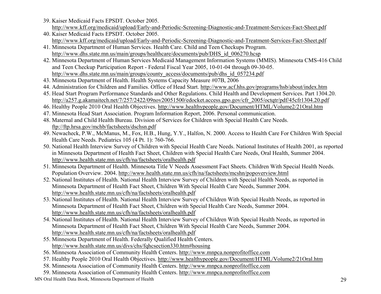- 39. Kaiser Medicaid Facts EPSDT. October 2005. http://www.kff.org/medicaid/upload/Early-and-Periodic-Screening-Diagnostic-and-Treatment-Services-Fact-Sheet.pdf
- 40. Kaiser Medicaid Facts EPSDT. October 2005. http://www.kff.org/medicaid/upload/Early-and-Periodic-Screening-Diagnostic-and-Treatment-Services-Fact-Sheet.pdf
- 41. Minnesota Department of Human Services. Health Care. Child and Teen Checkups Program. http://www.dhs.state.mn.us/main/groups/healthcare/documents/pub/DHS\_id\_006270.hcsp
- 42. Minnesota Department of Human Services Medicaid Management Information Systems (MMIS). Minnesota CMS-416 Child and Teen Checkup Participation Report - Federal Fiscal Year 2005, 10-01-04 through 09-30-05. http://www.dhs.state.mn.us/main/groups/county\_access/documents/pub/dhs\_id\_057234.pdf
- 43. Minnesota Department of Health. Health Systems Capacity Measure #07B, 2006
- 44. Administration for Children and Families. Office of Head Start. http://www.acf.hhs.gov/programs/hsb/about/index.htm
- 45. Head Start Program Performance Standards and Other Regulations. Child Health and Development Services. Part 1304.20. http://a257.g.akamaitech.net/7/257/2422/09nov20051500/edocket.access.gpo.gov/cfr\_2005/octqtr/pdf/45cfr1304.20.pdf
- 46. Healthy People 2010 Oral Health Objectives. http://www.healthypeople.gov/Document/HTML/Volume2/21Oral.htm
- 47. Minnesota Head Start Association. Program Information Report, 2006. Personal communication.
- 48. Maternal and Child Health Bureau. Division of Services for Children with Special Health Care Needs. ftp://ftp.hrsa.gov/mchb/factsheets/dschsn.pdf
- 49. Newacheck, P.W., McManus, M., Fox, H.B., Hung, Y.Y., Halfon, N. 2000. Access to Health Care For Children With Special Health Care Needs. Pediatrics 105 (4 Pt. 1): 760-766.
- 50. National Health Interview Survey of Children with Special Health Care Needs. National Institutes of Health 2001, as reported in Minnesota Department of Health Fact Sheet, Children with Special Health Care Needs, Oral Health, Summer 2004. http://www.health.state.mn.us/cfh/na/factsheets/oralhealth.pdf
- 51. Minnesota Department of Health. Minnesota Title V Needs Assessment Fact Sheets. Children With Special Health Needs. Population Overview. 2004. http://www.health.state.mn.us/cfh/na/factsheets/mcshn/popoverview.html
- 52. National Institutes of Health. National Health Interview Survey of Children with Special Health Needs, as reported in Minnesota Department of Health Fact Sheet, Children With Special Health Care Needs, Summer 2004. http://www.health.state.mn.us/cfh/na/factsheets/oralhealth.pdf
- 53. National Institutes of Health. National Health Interview Survey of Children With Special Health Needs, as reported in Minnesota Department of Health Fact Sheet, Children with Special Health Care Needs, Summer 2004. http://www.health.state.mn.us/cfh/na/factsheets/oralhealth.pdf
- 54. National Institutes of Health. National Health Interview Survey of Children With Special Health Needs, as reported in Minnesota Department of Health Fact Sheet, Children With Special Health Care Needs, Summer 2004. http://www.health.state.mn.us/cfh/na/factsheets/oralhealth.pdf
- 55. Minnesota Department of Health. Federally Qualified Health Centers. http://www.health.state.mn.us/divs/chs/fqhcsection330.htm#housing
- 56. Minnesota Association of Community Health Centers. http://www.mnpca.nonprofitoffice.com
- 57. Healthy People 2010 Oral Health Objectives. http://www.healthypeople.gov/Document/HTML/Volume2/21Oral.htm
- 58. Minnesota Association of Community Health Centers. http://www.mnpca.nonprofitoffice.com
- 59. Minnesota Association of Community Health Centers. http://www.mnpca.nonprofitoffice.com
- MN Oral Health Data Book, Minnesota Department of Health 29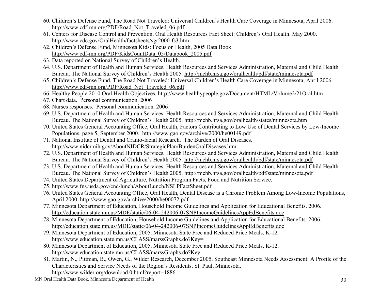- 60. Children's Defense Fund, The Road Not Traveled: Universal Children's Health Care Coverage in Minnesota, April 2006. http://www.cdf-mn.org/PDF/Road\_Not\_Traveled\_06.pdf
- 61. Centers for Disease Control and Prevention. Oral Health Resources Fact Sheet: Children's Oral Health. May 2000. http://www.cdc.gov/OralHealth/factsheets/sgr2000-fs3.htm
- 62. Children's Defense Fund, Minnesota Kids: Focus on Health, 2005 Data Book. http://www.cdf-mn.org/PDF/KidsCountData\_05/Databook\_2005.pdf
- 63. Data reported on National Survey of Children's Health.
- 64. U.S. Department of Health and Human Services, Health Resources and Services Administration, Maternal and Child Health Bureau. The National Survey of Children's Health 2005. http://mchb.hrsa.gov/oralhealth/pdf/state/minnesota.pdf
- 65. Children's Defense Fund, The Road Not Traveled: Universal Children's Health Care Coverage in Minnesota, April 2006. http://www.cdf-mn.org/PDF/Road\_Not\_Traveled\_06.pdf
- 66. Healthy People 2010 Oral Health Objectives. http://www.healthypeople.gov/Document/HTML/Volume2/21Oral.htm
- 67. Chart data. Personal communication. 2006
- 68. Nurses responses. Personal communication. 2006
- 69. U.S. Department of Health and Human Services, Health Resources and Services Administration, Maternal and Child Health Bureau. The National Survey of Children's Health 2005. http://mchb.hrsa.gov/oralhealth/states/minnesota.htm
- 70. United States General Accounting Office, Oral Health, Factors Contributing to Low Use of Dental Services by Low-Income Populations, page 5, September 2000. http://www.gao.gov/archive/2000/he00149.pdf
- 71. National Institute of Dental and Cranio-facial Research. The Burden of Oral Diseases. http://www.nidcr.nih.gov/AboutNIDCR/StrategicPlan/BurdenOralDiseases.htm
- 72. U.S. Department of Health and Human Services, Health Resources and Services Administration, Maternal and Child Health Bureau. The National Survey of Children's Health 2005. http://mchb.hrsa.gov/oralhealth/pdf/state/minnesota.pdf
- 73. U.S. Department of Health and Human Services, Health Resources and Services Administration, Maternal and Child Health Bureau. The National Survey of Children's Health 2005. http://mchb.hrsa.gov/oralhealth/pdf/state/minnesota.pdf
- 74. United States Department of Agriculture, Nutrition Program Facts, Food and Nutrition Service.
- 75. http://www.fns.usda.gov/cnd/lunch/AboutLunch/NSLPFactSheet.pdf
- 76. United States General Accounting Office, Oral Health, Dental Disease is a Chronic Problem Among Low-Income Populations, April 2000. http://www.gao.gov/archive/2000/he00072.pdf
- 77. Minnesota Department of Education, Household Income Guidelines and Application for Educational Benefits. 2006. http://education.state.mn.us/MDE/static/06-04-242006-07SNPIncomeGuidelinesAppEdBenefits.doc
- 78. Minnesota Department of Education, Household Income Guidelines and Application for Educational Benefits. 2006. http://education.state.mn.us/MDE/static/06-04-242006-07SNPIncomeGuidelinesAppEdBenefits.doc
- 79. Minnesota Department of Education, 2005. Minnesota State Free and Reduced Price Meals, K-12. http://www.education.state.mn.us/CLASS/marssGraphs.do?Key=
- 80. Minnesota Department of Education, 2005. Minnesota State Free and Reduced Price Meals, K-12. http://www.education.state.mn.us/CLASS/marssGraphs.do?Key
- 81. Martin, N., Pittman, B., Owen, G., Wilder Research, December 2005. Southeast Minnesota Needs Assessment: A Profile of the Characteristics and Service Needs of the Region's Residents. St. Paul, Minnesota. http://www.wilder.org/download.0.html?report=1886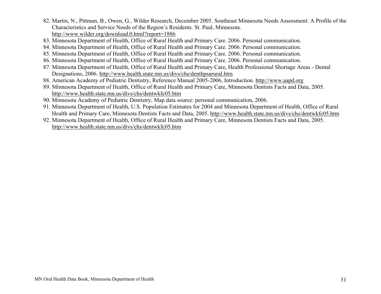- 82. Martin, N., Pittman, B., Owen, G., Wilder Research, December 2005. Southeast Minnesota Needs Assessment: A Profile of the Characteristics and Service Needs of the Region's Residents. St. Paul, Minnesota. http://www.wilder.org/download.0.html?report=1886
- 83. Minnesota Department of Health, Office of Rural Health and Primary Care. 2006. Personal communication.
- 84. Minnesota Department of Health, Office of Rural Health and Primary Care. 2006. Personal communication.
- 85. Minnesota Department of Health, Office of Rural Health and Primary Care. 2006. Personal communication.
- 86. Minnesota Department of Health, Office of Rural Health and Primary Care. 2006. Personal communication.
- 87. Minnesota Department of Health, Office of Rural Health and Primary Care, Health Professional Shortage Areas Dental Designations, 2006. http://www.health.state.mn.us/divs/chs/denthpsarural.htm
- 88. American Academy of Pediatric Dentistry, Reference Manual 2005-2006, Introduction. http://www.aapd.org
- 89. Minnesota Department of Health, Office of Rural Health and Primary Care, Minnesota Dentists Facts and Data, 2005. http://www.health.state.mn.us/divs/chs/dentwkfc05.htm
- 90. Minnesota Academy of Pediatric Dentistry, Map data source: personal communication, 2006.
- 91. Minnesota Department of Health, U.S. Population Estimates for 2004 and Minnesota Department of Health, Office of Rural Health and Primary Care, Minnesota Dentists Facts and Data, 2005. http://www.health.state.mn.us/divs/chs/dentwkfc05.htm
- 92. Minnesota Department of Health, Office of Rural Health and Primary Care, Minnesota Dentists Facts and Data, 2005. http://www.health.state.mn.us/divs/chs/dentwkfc05.htm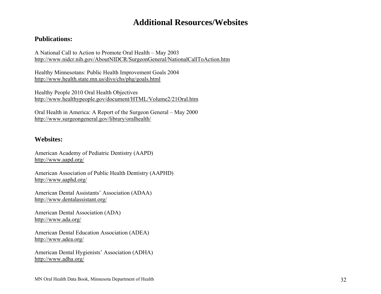#### **Additional Resources/Websites**

#### **Publications:**

A National Call to Action to Promote Oral Health – May 2003 http://www.nidcr.nih.gov/AboutNIDCR/SurgeonGeneral/NationalCallToAction.htm

Healthy Minnesotans: Public Health Improvement Goals 2004 http://www.health.state.mn.us/divs/chs/phg/goals.html

Healthy People 2010 Oral Health Objectives http://www.healthypeople.gov/document/HTML/Volume2/21Oral.htm

Oral Health in America: A Report of the Surgeon General – May 2000 http://www.surgeongeneral.gov/library/oralhealth/

#### **Websites:**

American Academy of Pediatric Dentistry (AAPD) http://www.aapd.org/

American Association of Public Health Dentistry (AAPHD) http://www.aaphd.org/

American Dental Assistants' Association (ADAA) http://www.dentalassistant.org/

American Dental Association (ADA) http://www.ada.org/

American Dental Education Association (ADEA) http://www.adea.org/

American Dental Hygienists' Association (ADHA) http://www.adha.org/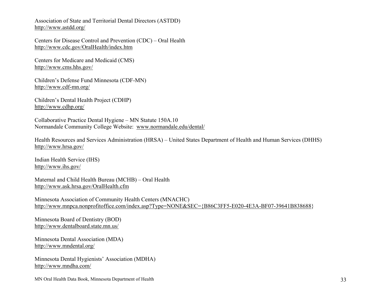Association of State and Territorial Dental Directors (ASTDD) http://www.astdd.org/

Centers for Disease Control and Prevention (CDC) – Oral Health http://www.cdc.gov/OralHealth/index.htm

Centers for Medicare and Medicaid (CMS) http://www.cms.hhs.gov/

Children's Defense Fund Minnesota (CDF-MN) http://www.cdf-mn.org/

Children's Dental Health Project (CDHP) http://www.cdhp.org/

Collaborative Practice Dental Hygiene – MN Statute 150A.10 Normandale Community College Website: www.normandale.edu/dental/

Health Resources and Services Administration (HRSA) – United States Department of Health and Human Services (DHHS) http://www.hrsa.gov/

Indian Health Service (IHS) http://www.ihs.gov/

Maternal and Child Health Bureau (MCHB) – Oral Health http://www.ask.hrsa.gov/OralHealth.cfm

Minnesota Association of Community Health Centers (MNACHC) http://www.mnpca.nonprofitoffice.com/index.asp?Type=NONE&SEC={B86C3FF5-E020-4E3A-BF07-39641B838688}

Minnesota Board of Dentistry (BOD) http://www.dentalboard.state.mn.us/

Minnesota Dental Association (MDA) http://www.mndental.org/

Minnesota Dental Hygienists' Association (MDHA) http://www.mndha.com/

MN Oral Health Data Book, Minnesota Department of Health 33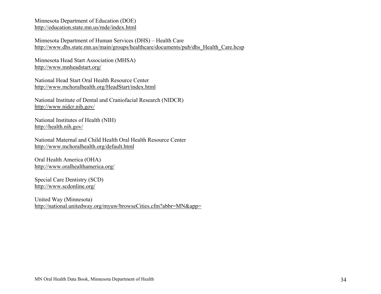Minnesota Department of Education (DOE) http://education.state.mn.us/mde/index.html

Minnesota Department of Human Services (DHS) – Health Care http://www.dhs.state.mn.us/main/groups/healthcare/documents/pub/dhs\_Health\_Care.hcsp

Minnesota Head Start Association (MHSA) http://www.mnheadstart.org/

National Head Start Oral Health Resource Center http://www.mchoralhealth.org/HeadStart/index.html

National Institute of Dental and Craniofacial Research (NIDCR) http://www.nidcr.nih.gov/

National Institutes of Health (NIH) http://health.nih.gov/

National Maternal and Child Health Oral Health Resource Center http://www.mchoralhealth.org/default.html

Oral Health America (OHA) http://www.oralhealthamerica.org/

Special Care Dentistry (SCD) http://www.scdonline.org/

United Way (Minnesota) http://national.unitedway.org/myuw/browseCities.cfm?abbr=MN&app=